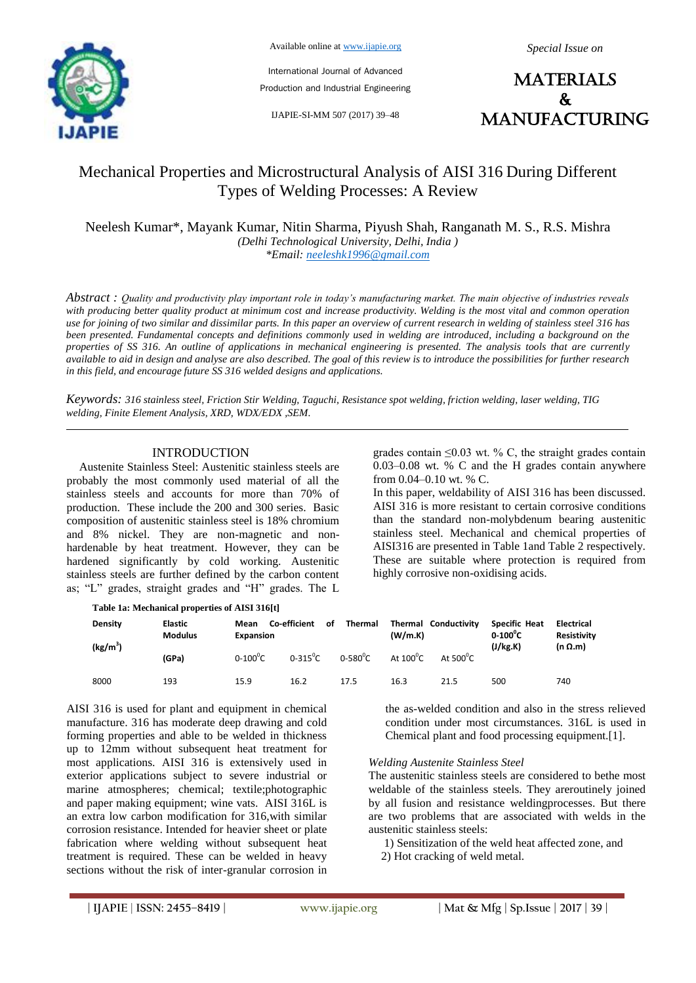

Available online at www.ijapie.org

International Journal of Advanced

Production and Industrial Engineering

IJAPIE-SI-MM 507 (2017) 39–48

**MATERIALS** & manufacturing

# Mechanical Properties and Microstructural Analysis of AISI 316 During Different Types of Welding Processes: A Review

Neelesh Kumar\*, Mayank Kumar, Nitin Sharma, Piyush Shah, Ranganath M. S., R.S. Mishra *(Delhi Technological University, Delhi, India ) \*Email: neeleshk1996@gmail.com*

*Abstract : Quality and productivity play important role in today's manufacturing market. The main objective of industries reveals with producing better quality product at minimum cost and increase productivity. Welding is the most vital and common operation use for joining of two similar and dissimilar parts. In this paper an overview of current research in welding of stainless steel 316 has been presented. Fundamental concepts and definitions commonly used in welding are introduced, including a background on the properties of SS 316. An outline of applications in mechanical engineering is presented. The analysis tools that are currently available to aid in design and analyse are also described. The goal of this review is to introduce the possibilities for further research in this field, and encourage future SS 316 welded designs and applications.*

*Keywords: 316 stainless steel, Friction Stir Welding, Taguchi, Resistance spot welding, friction welding, laser welding, TIG welding, Finite Element Analysis, XRD, WDX/EDX ,SEM.*

# INTRODUCTION

Austenite Stainless Steel: Austenitic stainless steels are probably the most commonly used material of all the stainless steels and accounts for more than 70% of production. These include the 200 and 300 series. Basic composition of austenitic stainless steel is 18% chromium and 8% nickel. They are non-magnetic and nonhardenable by heat treatment. However, they can be hardened significantly by cold working. Austenitic stainless steels are further defined by the carbon content as; "L" grades, straight grades and "H" grades. The L

grades contain  $\leq 0.03$  wt. % C, the straight grades contain 0.03–0.08 wt. % C and the H grades contain anywhere from 0.04–0.10 wt. % C.

In this paper, weldability of AISI 316 has been discussed. AISI 316 is more resistant to certain corrosive conditions than the standard non-molybdenum bearing austenitic stainless steel. Mechanical and chemical properties of AISI316 are presented in Table 1and Table 2 respectively. These are suitable where protection is required from highly corrosive non-oxidising acids.

| Table 1a: Mechanical properties of AISI 316[t] |                                  |                          |                    |                    |                    |                             |                                                       |                                                    |
|------------------------------------------------|----------------------------------|--------------------------|--------------------|--------------------|--------------------|-----------------------------|-------------------------------------------------------|----------------------------------------------------|
| Density<br>(kg/m <sup>3</sup> )                | <b>Elastic</b><br><b>Modulus</b> | Mean<br><b>Expansion</b> | Co-efficient<br>οf | <b>Thermal</b>     | (W/m.K)            | <b>Thermal Conductivity</b> | <b>Specific Heat</b><br>$0-100^{\circ}$ C<br>(J/kg.K) | <b>Electrical</b><br>Resistivity<br>$(n \Omega.m)$ |
|                                                | (GPa)                            | $0 - 100^{\circ}C$       | $0-315^0C$         | $0 - 580^{\circ}C$ | At $100^{\circ}$ C | At $500^{\circ}$ C          |                                                       |                                                    |
| 8000                                           | 193                              | 15.9                     | 16.2               | 17.5               | 16.3               | 21.5                        | 500                                                   | 740                                                |

AISI 316 is used for plant and equipment in chemical manufacture. 316 has moderate deep drawing and cold forming properties and able to be welded in thickness up to 12mm without subsequent heat treatment for most applications. AISI 316 is extensively used in exterior applications subject to severe industrial or marine atmospheres; chemical; textile;photographic and paper making equipment; wine vats. AISI 316L is an extra low carbon modification for 316,with similar corrosion resistance. Intended for heavier sheet or plate fabrication where welding without subsequent heat treatment is required. These can be welded in heavy sections without the risk of inter-granular corrosion in the as-welded condition and also in the stress relieved condition under most circumstances. 316L is used in Chemical plant and food processing equipment.[1].

# *Welding Austenite Stainless Steel*

The austenitic stainless steels are considered to bethe most weldable of the stainless steels. They areroutinely joined by all fusion and resistance weldingprocesses. But there are two problems that are associated with welds in the austenitic stainless steels:

1) Sensitization of the weld heat affected zone, and 2) Hot cracking of weld metal.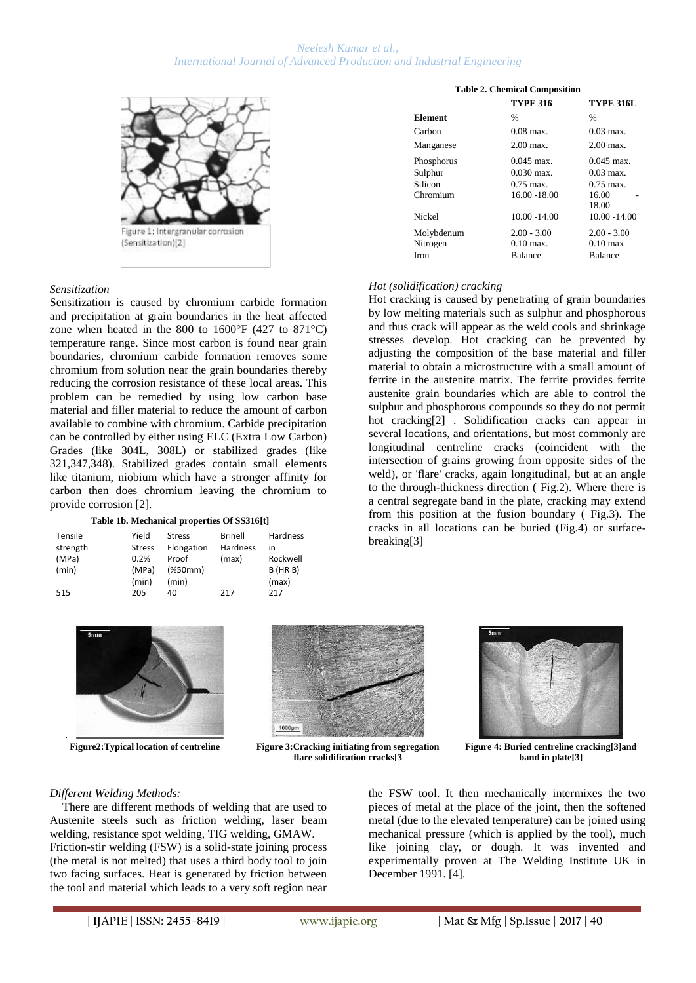

# *Sensitization*

Sensitization is caused by chromium carbide formation and precipitation at grain boundaries in the heat affected zone when heated in the 800 to  $1600^{\circ}$ F (427 to 871 $^{\circ}$ C) temperature range. Since most carbon is found near grain boundaries, chromium carbide formation removes some chromium from solution near the grain boundaries thereby reducing the corrosion resistance of these local areas. This problem can be remedied by using low carbon base material and filler material to reduce the amount of carbon available to combine with chromium. Carbide precipitation can be controlled by either using ELC (Extra Low Carbon) Grades (like 304L, 308L) or stabilized grades (like 321,347,348). Stabilized grades contain small elements like titanium, niobium which have a stronger affinity for carbon then does chromium leaving the chromium to provide corrosion [2].

#### **Table 1b. Mechanical properties Of SS316[t]**

| Tensile  | Yield         | <b>Stress</b> | Brinell  | Hardness      |
|----------|---------------|---------------|----------|---------------|
| strength | <b>Stress</b> | Elongation    | Hardness | in            |
| (MPa)    | 0.2%          | Proof         | (max)    | Rockwell      |
| (min)    | (MPa)         | (%            |          | $B$ (HR $B$ ) |
|          | (min)         | (min)         |          | (max)         |
| 515      | 205           | 40            | 217      | 217           |

# **Table 2. Chemical Composition TYPE 316 TYPE 316L**  $Element$ Carbon 0.08 max. 0.03 max.

| Manganese  | $2.00$ max.             | $2.00$ max.        |
|------------|-------------------------|--------------------|
| Phosphorus | $0.045$ max.            | $0.045$ max.       |
| Sulphur    | $0.030$ max.            | $0.03$ max.        |
| Silicon    | $0.75 \,\mathrm{max}$ . | $0.75$ max.        |
| Chromium   | 16.00 -18.00            | 16.00              |
|            |                         | 18.00              |
| Nickel     | 10.00 -14.00            | 10.00 -14.00       |
| Molybdenum | $2.00 - 3.00$           | $2.00 - 3.00$      |
| Nitrogen   | $0.10$ max.             | $0.10 \text{ max}$ |
| Iron       | <b>Balance</b>          | <b>Balance</b>     |
|            |                         |                    |

#### *Hot (solidification) cracking*

Hot cracking is caused by penetrating of grain boundaries by low melting materials such as sulphur and phosphorous and thus crack will appear as the weld cools and shrinkage stresses develop. Hot cracking can be prevented by adjusting the composition of the base material and filler material to obtain a microstructure with a small amount of ferrite in the austenite matrix. The ferrite provides ferrite austenite grain boundaries which are able to control the sulphur and phosphorous compounds so they do not permit hot cracking[2] . Solidification cracks can appear in several locations, and orientations, but most commonly are longitudinal centreline cracks (coincident with the intersection of grains growing from opposite sides of the weld), or 'flare' cracks, again longitudinal, but at an angle to the through-thickness direction ( Fig.2). Where there is a central segregate band in the plate, cracking may extend from this position at the fusion boundary ( Fig.3). The cracks in all locations can be buried (Fig.4) or surfacebreaking[3]





**Figure2:Typical location of centreline Figure 3:Cracking initiating from segregation flare solidification cracks[3**



**Figure 4: Buried centreline cracking[3]and band in plate[3]**

#### *Different Welding Methods:*

There are different methods of welding that are used to Austenite steels such as friction welding, laser beam welding, resistance spot welding, TIG welding, GMAW. Friction-stir welding (FSW) is a solid-state joining process (the metal is not melted) that uses a third body tool to join two facing surfaces. Heat is generated by friction between the tool and material which leads to a very soft region near

the FSW tool. It then mechanically intermixes the two pieces of metal at the place of the joint, then the softened metal (due to the elevated temperature) can be joined using mechanical pressure (which is applied by the tool), much like joining clay, or dough. It was invented and experimentally proven at The Welding Institute UK in December 1991. [4].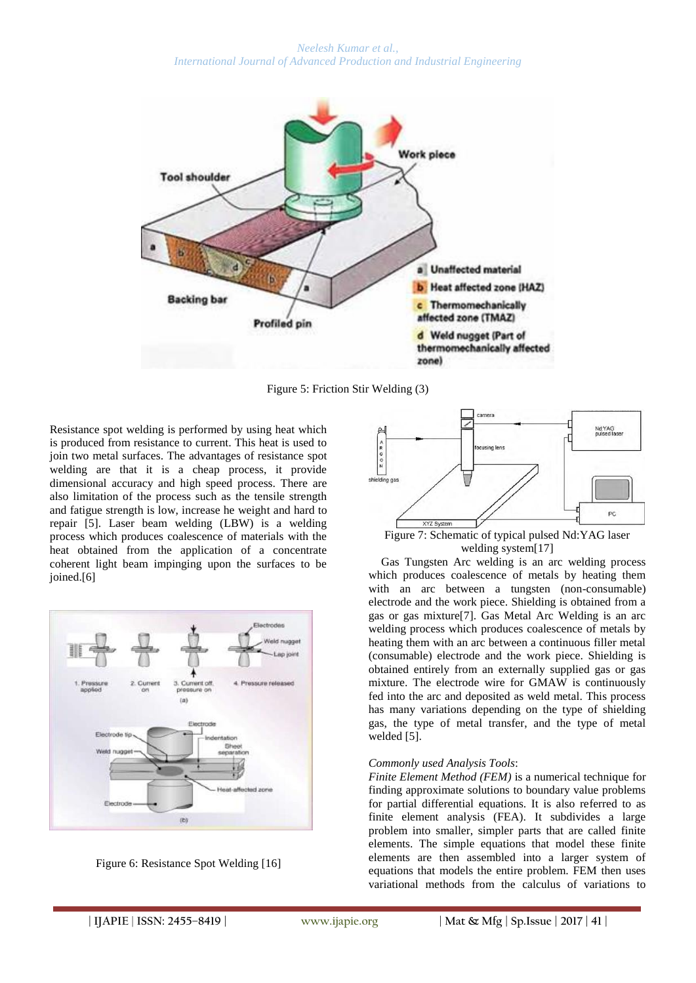*Neelesh Kumar et al., International Journal of Advanced Production and Industrial Engineering*



Figure 5: Friction Stir Welding (3)

Resistance spot welding is performed by using heat which is produced from resistance to current. This heat is used to join two metal surfaces. The advantages of resistance spot welding are that it is a cheap process, it provide dimensional accuracy and high speed process. There are also limitation of the process such as the tensile strength and fatigue strength is low, increase he weight and hard to repair [5]. Laser beam welding (LBW) is a welding process which produces coalescence of materials with the heat obtained from the application of a concentrate coherent light beam impinging upon the surfaces to be joined.[6]



Figure 6: Resistance Spot Welding [16]



welding system[17]

Gas Tungsten Arc welding is an arc welding process which produces coalescence of metals by heating them with an arc between a tungsten (non-consumable) electrode and the work piece. Shielding is obtained from a gas or gas mixture[7]. Gas Metal Arc Welding is an arc welding process which produces coalescence of metals by heating them with an arc between a continuous filler metal (consumable) electrode and the work piece. Shielding is obtained entirely from an externally supplied gas or gas mixture. The electrode wire for GMAW is continuously fed into the arc and deposited as weld metal. This process has many variations depending on the type of shielding gas, the type of metal transfer, and the type of metal welded [5].

#### *Commonly used Analysis Tools*:

*Finite Element Method (FEM)* is a numerical technique for finding approximate solutions to boundary value problems for partial differential equations. It is also referred to as finite element analysis (FEA). It subdivides a large problem into smaller, simpler parts that are called finite elements. The simple equations that model these finite elements are then assembled into a larger system of equations that models the entire problem. FEM then uses variational methods from the calculus of variations to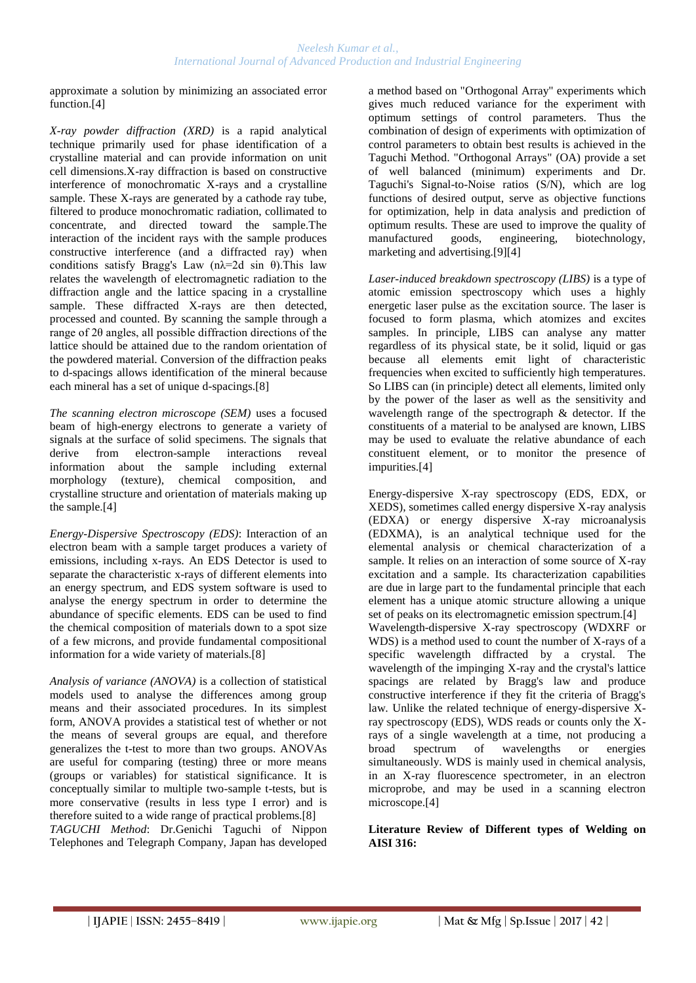approximate a solution by minimizing an associated error function.[4]

*X-ray powder diffraction (XRD)* is a rapid analytical technique primarily used for phase identification of a crystalline material and can provide information on unit cell dimensions.X-ray diffraction is based on constructive interference of monochromatic X-rays and a crystalline sample. These X-rays are generated by a cathode ray tube, filtered to produce monochromatic radiation, collimated to concentrate, and directed toward the sample.The interaction of the incident rays with the sample produces constructive interference (and a diffracted ray) when conditions satisfy Bragg's Law  $(n\lambda=2d \sin \theta)$ . This law relates the wavelength of electromagnetic radiation to the diffraction angle and the lattice spacing in a crystalline sample. These diffracted X-rays are then detected, processed and counted. By scanning the sample through a range of 2θ angles, all possible diffraction directions of the lattice should be attained due to the random orientation of the powdered material. Conversion of the diffraction peaks to d-spacings allows identification of the mineral because each mineral has a set of unique d-spacings.[8]

*The scanning electron microscope (SEM)* uses a focused beam of high-energy electrons to generate a variety of signals at the surface of solid specimens. The signals that derive from electron-sample interactions reveal information about the sample including external morphology (texture), chemical composition, and crystalline structure and orientation of materials making up the sample.[4]

*Energy-Dispersive Spectroscopy (EDS)*: Interaction of an electron beam with a sample target produces a variety of emissions, including x-rays. An EDS Detector is used to separate the characteristic x-rays of different elements into an energy spectrum, and EDS system software is used to analyse the energy spectrum in order to determine the abundance of specific elements. EDS can be used to find the chemical composition of materials down to a spot size of a few microns, and provide fundamental compositional information for a wide variety of materials.[8]

*Analysis of variance (ANOVA)* is a collection of statistical models used to analyse the differences among group means and their associated procedures. In its simplest form, ANOVA provides a statistical test of whether or not the means of several groups are equal, and therefore generalizes the t-test to more than two groups. ANOVAs are useful for comparing (testing) three or more means (groups or variables) for statistical significance. It is conceptually similar to multiple two-sample t-tests, but is more conservative (results in less type I error) and is therefore suited to a wide range of practical problems.[8] *TAGUCHI Method*: Dr.Genichi Taguchi of Nippon Telephones and Telegraph Company, Japan has developed a method based on "Orthogonal Array" experiments which gives much reduced variance for the experiment with optimum settings of control parameters. Thus the combination of design of experiments with optimization of control parameters to obtain best results is achieved in the Taguchi Method. "Orthogonal Arrays" (OA) provide a set of well balanced (minimum) experiments and Dr. Taguchi's Signal-to-Noise ratios (S/N), which are log functions of desired output, serve as objective functions for optimization, help in data analysis and prediction of optimum results. These are used to improve the quality of manufactured goods, engineering, biotechnology, marketing and advertising.[9][4]

*Laser-induced breakdown spectroscopy (LIBS)* is a type of atomic emission spectroscopy which uses a highly energetic laser pulse as the excitation source. The laser is focused to form plasma, which atomizes and excites samples. In principle, LIBS can analyse any matter regardless of its physical state, be it solid, liquid or gas because all elements emit light of characteristic frequencies when excited to sufficiently high temperatures. So LIBS can (in principle) detect all elements, limited only by the power of the laser as well as the sensitivity and wavelength range of the spectrograph & detector. If the constituents of a material to be analysed are known, LIBS may be used to evaluate the relative abundance of each constituent element, or to monitor the presence of impurities.[4]

Energy-dispersive X-ray spectroscopy (EDS, EDX, or XEDS), sometimes called energy dispersive X-ray analysis (EDXA) or energy dispersive X-ray microanalysis (EDXMA), is an analytical technique used for the elemental analysis or chemical characterization of a sample. It relies on an interaction of some source of X-ray excitation and a sample. Its characterization capabilities are due in large part to the fundamental principle that each element has a unique atomic structure allowing a unique set of peaks on its electromagnetic emission spectrum.[4] Wavelength-dispersive X-ray spectroscopy (WDXRF or WDS) is a method used to count the number of X-rays of a specific wavelength diffracted by a crystal. The wavelength of the impinging X-ray and the crystal's lattice spacings are related by Bragg's law and produce constructive interference if they fit the criteria of Bragg's law. Unlike the related technique of energy-dispersive Xray spectroscopy (EDS), WDS reads or counts only the Xrays of a single wavelength at a time, not producing a broad spectrum of wavelengths or energies simultaneously. WDS is mainly used in chemical analysis, in an X-ray fluorescence spectrometer, in an electron microprobe, and may be used in a scanning electron microscope.[4]

# **Literature Review of Different types of Welding on AISI 316:**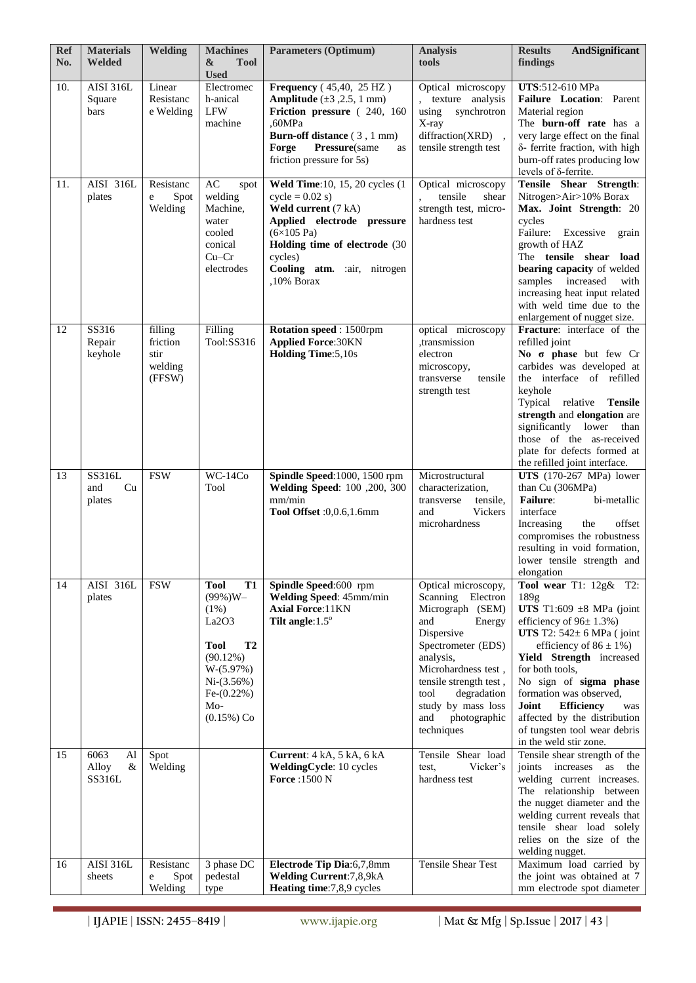| <b>Ref</b><br>No. | <b>Materials</b><br><b>Welded</b>  | <b>Welding</b>                                   | <b>Machines</b><br>&<br><b>Tool</b><br><b>Used</b>                                                                                                                      | <b>Parameters (Optimum)</b>                                                                                                                                                                                                      | <b>Analysis</b><br>tools                                                                                                                                                                                                                                             | <b>AndSignificant</b><br><b>Results</b><br>findings                                                                                                                                                                                                                                                                                                                                                        |
|-------------------|------------------------------------|--------------------------------------------------|-------------------------------------------------------------------------------------------------------------------------------------------------------------------------|----------------------------------------------------------------------------------------------------------------------------------------------------------------------------------------------------------------------------------|----------------------------------------------------------------------------------------------------------------------------------------------------------------------------------------------------------------------------------------------------------------------|------------------------------------------------------------------------------------------------------------------------------------------------------------------------------------------------------------------------------------------------------------------------------------------------------------------------------------------------------------------------------------------------------------|
| 10.               | <b>AISI 316L</b><br>Square<br>bars | Linear<br>Resistanc<br>e Welding                 | Electromec<br>h-anical<br><b>LFW</b><br>machine                                                                                                                         | <b>Frequency</b> (45,40, 25 HZ)<br><b>Amplitude</b> $(\pm 3, 2.5, 1 \text{ mm})$<br>Friction pressure (240, 160<br>,60MPa<br><b>Burn-off distance</b> (3, 1 mm)<br>Forge<br>Pressure(same<br>as<br>friction pressure for 5s)     | Optical microscopy<br>, texture analysis<br>using<br>synchrotron<br>X-ray<br>diffraction(XRD),<br>tensile strength test                                                                                                                                              | UTS:512-610 MPa<br>Failure Location: Parent<br>Material region<br>The burn-off rate has a<br>very large effect on the final<br>δ- ferrite fraction, with high<br>burn-off rates producing low<br>levels of δ-ferrite.                                                                                                                                                                                      |
| 11.               | AISI 316L<br>plates                | Resistanc<br>Spot<br>e<br>Welding                | $\mathbf{A}\mathbf{C}$<br>spot<br>welding<br>Machine,<br>water<br>cooled<br>conical<br>$Cu-Cr$<br>electrodes                                                            | Weld Time: 10, 15, 20 cycles (1<br>$cycle = 0.02$ s)<br>Weld current (7 kA)<br>Applied electrode pressure<br>$(6\times105 \text{ Pa})$<br>Holding time of electrode (30<br>cycles)<br>Cooling atm. : air, nitrogen<br>,10% Borax | Optical microscopy<br>tensile<br>shear<br>strength test, micro-<br>hardness test                                                                                                                                                                                     | Tensile Shear Strength:<br>Nitrogen>Air>10% Borax<br>Max. Joint Strength: 20<br>cycles<br>Failure: Excessive<br>grain<br>growth of HAZ<br>The tensile shear load<br>bearing capacity of welded<br>increased<br>with<br>samples<br>increasing heat input related<br>with weld time due to the<br>enlargement of nugget size.                                                                                |
| 12                | SS316<br>Repair<br>keyhole         | filling<br>friction<br>stir<br>welding<br>(FFSW) | Filling<br>Tool:SS316                                                                                                                                                   | Rotation speed: 1500rpm<br><b>Applied Force: 30KN</b><br><b>Holding Time:</b> 5,10s                                                                                                                                              | optical microscopy<br>,transmission<br>electron<br>microscopy,<br>tensile<br>transverse<br>strength test                                                                                                                                                             | Fracture: interface of the<br>refilled ioint<br>No $\sigma$ phase but few Cr<br>carbides was developed at<br>the interface of refilled<br>keyhole<br>Typical relative<br>Tensile<br>strength and elongation are<br>significantly lower<br>than<br>those of the as-received<br>plate for defects formed at<br>the refilled joint interface.                                                                 |
| 13                | SS316L<br>Cu<br>and<br>plates      | <b>FSW</b>                                       | $WC-14Co$<br>Tool                                                                                                                                                       | Spindle Speed: 1000, 1500 rpm<br>Welding Speed: 100 ,200, 300<br>mm/min<br>Tool Offset : 0,0.6,1.6mm                                                                                                                             | Microstructural<br>characterization,<br>tensile.<br>transverse<br>Vickers<br>and<br>microhardness                                                                                                                                                                    | UTS $(170-267 \text{ MPa})$ lower<br>than Cu (306MPa)<br><b>Failure:</b><br>bi-metallic<br>interface<br>the<br>offset<br>Increasing<br>compromises the robustness<br>resulting in void formation,<br>lower tensile strength and<br>elongation                                                                                                                                                              |
| 14                | AISI 316L<br>plates                | <b>FSW</b>                                       | <b>Tool</b><br><b>T1</b><br>$(99\%)W -$<br>(1%)<br>La2O3<br><b>Tool</b><br><b>T2</b><br>(90.12%)<br>$W-(5.97%)$<br>$Ni-(3.56%)$<br>$Fe-(0.22%)$<br>Mo-<br>$(0.15\%)$ Co | Spindle Speed:600 rpm<br>Welding Speed: 45mm/min<br><b>Axial Force: 11KN</b><br>Tilt angle: $1.5^\circ$                                                                                                                          | Optical microscopy,<br>Scanning<br>Electron<br>Micrograph (SEM)<br>and<br>Energy<br>Dispersive<br>Spectrometer (EDS)<br>analysis,<br>Microhardness test,<br>tensile strength test,<br>degradation<br>tool<br>study by mass loss<br>photographic<br>and<br>techniques | Tool wear $T1: 12g\& T2$ :<br>189g<br>UTS T1:609 $\pm 8$ MPa (joint<br>efficiency of $96 \pm 1.3\%$ )<br>UTS T2: $542 \pm 6$ MPa (joint<br>efficiency of $86 \pm 1\%$ )<br>Yield Strength increased<br>for both tools,<br>No sign of sigma phase<br>formation was observed,<br>Joint<br><b>Efficiency</b><br>was<br>affected by the distribution<br>of tungsten tool wear debris<br>in the weld stir zone. |
| 15                | 6063<br>Al<br>&<br>Alloy<br>SS316L | Spot<br>Welding                                  |                                                                                                                                                                         | <b>Current:</b> 4 kA, 5 kA, 6 kA<br>WeldingCycle: 10 cycles<br><b>Force: 1500 N</b>                                                                                                                                              | Tensile Shear load<br>Vicker's<br>test,<br>hardness test                                                                                                                                                                                                             | Tensile shear strength of the<br>joints increases<br>as<br>the<br>welding current increases.<br>The relationship between<br>the nugget diameter and the<br>welding current reveals that<br>tensile shear load solely<br>relies on the size of the<br>welding nugget.                                                                                                                                       |
| 16                | <b>AISI 316L</b><br>sheets         | Resistanc<br>Spot<br>e<br>Welding                | 3 phase DC<br>pedestal<br>type                                                                                                                                          | Electrode Tip Dia:6,7,8mm<br>Welding Current: 7,8,9kA<br>Heating time: 7,8,9 cycles                                                                                                                                              | <b>Tensile Shear Test</b>                                                                                                                                                                                                                                            | Maximum load carried by<br>the joint was obtained at 7<br>mm electrode spot diameter                                                                                                                                                                                                                                                                                                                       |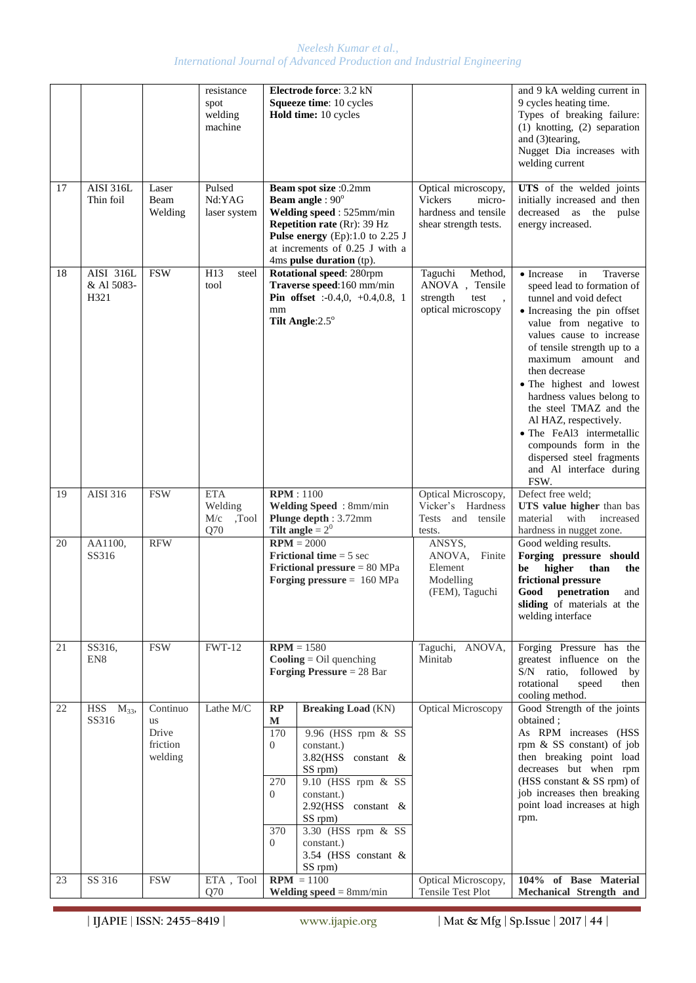|    |                                 |                                                | resistance<br>spot<br>welding<br>machine     | Electrode force: 3.2 kN<br>Squeeze time: 10 cycles<br>Hold time: 10 cycles                                                                                                                                                                                                                                                                     |                                                                                                  | and 9 kA welding current in<br>9 cycles heating time.<br>Types of breaking failure:<br>$(1)$ knotting, $(2)$ separation<br>and (3)tearing,<br>Nugget Dia increases with<br>welding current                                                                                                                                                                                                                                                                                        |
|----|---------------------------------|------------------------------------------------|----------------------------------------------|------------------------------------------------------------------------------------------------------------------------------------------------------------------------------------------------------------------------------------------------------------------------------------------------------------------------------------------------|--------------------------------------------------------------------------------------------------|-----------------------------------------------------------------------------------------------------------------------------------------------------------------------------------------------------------------------------------------------------------------------------------------------------------------------------------------------------------------------------------------------------------------------------------------------------------------------------------|
| 17 | <b>AISI 316L</b><br>Thin foil   | Laser<br>Beam<br>Welding                       | Pulsed<br>Nd:YAG<br>laser system             | Beam spot size :0.2mm<br><b>Beam angle: 90°</b><br>Welding speed: 525mm/min<br><b>Repetition rate (Rr): 39 Hz</b><br>Pulse energy $(Ep)$ :1.0 to 2.25 J<br>at increments of 0.25 J with a<br>4ms pulse duration (tp).                                                                                                                          | Optical microscopy,<br><b>Vickers</b><br>micro-<br>hardness and tensile<br>shear strength tests. | UTS of the welded joints<br>initially increased and then<br>decreased as the pulse<br>energy increased.                                                                                                                                                                                                                                                                                                                                                                           |
| 18 | AISI 316L<br>& Al 5083-<br>H321 | <b>FSW</b>                                     | H13<br>steel<br>tool                         | Rotational speed: 280rpm<br>Traverse speed:160 mm/min<br><b>Pin offset</b> :-0.4,0, +0.4,0.8, 1<br>mm<br>Tilt Angle: 2.5°                                                                                                                                                                                                                      | Method,<br>Taguchi<br>ANOVA, Tensile<br>strength<br>test<br>optical microscopy                   | Traverse<br>• Increase<br>in<br>speed lead to formation of<br>tunnel and void defect<br>• Increasing the pin offset<br>value from negative to<br>values cause to increase<br>of tensile strength up to a<br>maximum amount and<br>then decrease<br>• The highest and lowest<br>hardness values belong to<br>the steel TMAZ and the<br>Al HAZ, respectively.<br>• The FeAl3 intermetallic<br>compounds form in the<br>dispersed steel fragments<br>and Al interface during<br>FSW. |
| 19 | AISI 316                        | <b>FSW</b>                                     | <b>ETA</b><br>Welding<br>M/c<br>,Tool<br>Q70 | <b>RPM</b> : 1100<br>Welding Speed: 8mm/min<br>Plunge depth: 3.72mm<br>Tilt angle = $2^0$                                                                                                                                                                                                                                                      | Optical Microscopy,<br>Vicker's Hardness<br>and tensile<br>Tests<br>tests.                       | Defect free weld;<br>UTS value higher than bas<br>material<br>with increased<br>hardness in nugget zone.                                                                                                                                                                                                                                                                                                                                                                          |
| 20 | AA1100,<br>SS316                | <b>RFW</b>                                     |                                              | $RPM = 2000$<br><b>Frictional time</b> = $5 \text{ sec}$<br><b>Frictional pressure</b> $= 80 \text{ MPa}$<br>Forging pressure $= 160$ MPa                                                                                                                                                                                                      | ANSYS,<br>ANOVA, Finite<br>Element<br>Modelling<br>(FEM), Taguchi                                | Good welding results.<br>Forging pressure should<br>higher<br>be<br>than<br>the<br>frictional pressure<br>Good<br>penetration<br>and<br>sliding of materials at the<br>welding interface                                                                                                                                                                                                                                                                                          |
| 21 | SS316,<br>EN <sub>8</sub>       | <b>FSW</b>                                     | <b>FWT-12</b>                                | $RPM = 1580$<br>$\text{Cooling} = \text{Oil}$ quenching<br><b>Forging Pressure</b> = $28$ Bar                                                                                                                                                                                                                                                  | Taguchi, ANOVA,<br>Minitab                                                                       | Forging Pressure has the<br>greatest influence on the<br>S/N ratio, followed<br>by<br>rotational<br>speed<br>then<br>cooling method.                                                                                                                                                                                                                                                                                                                                              |
| 22 | $HSS$ $M_{33}$ ,<br>SS316       | Continuo<br>us<br>Drive<br>friction<br>welding | Lathe M/C                                    | RP<br><b>Breaking Load</b> (KN)<br>$\mathbf M$<br>9.96 (HSS rpm & SS<br>170<br>$\overline{0}$<br>constant.)<br>3.82(HSS constant &<br>SS rpm)<br>9.10 (HSS rpm & SS<br>270<br>$\overline{0}$<br>constant.)<br>2.92(HSS constant &<br>SS rpm)<br>$3.30$ (HSS rpm & SS<br>370<br>$\overline{0}$<br>constant.)<br>3.54 (HSS constant &<br>SS rpm) | <b>Optical Microscopy</b>                                                                        | Good Strength of the joints<br>obtained;<br>As RPM increases (HSS<br>rpm & SS constant) of job<br>then breaking point load<br>decreases but when rpm<br>(HSS constant & SS rpm) of<br>job increases then breaking<br>point load increases at high<br>rpm.                                                                                                                                                                                                                         |
| 23 | SS 316                          | <b>FSW</b>                                     | ETA, Tool<br>Q70                             | $RPM = 1100$<br><b>Welding speed</b> = $8$ mm/min                                                                                                                                                                                                                                                                                              | Optical Microscopy,<br>Tensile Test Plot                                                         | 104% of Base Material<br>Mechanical Strength and                                                                                                                                                                                                                                                                                                                                                                                                                                  |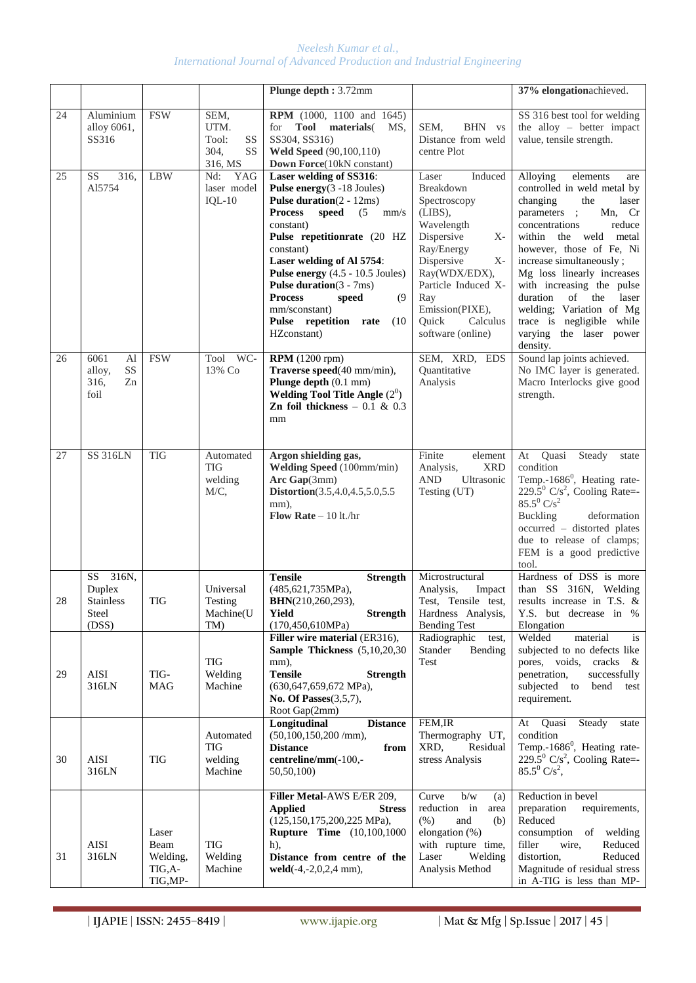|    |                                                                          |                                                 |                                                      | Plunge depth: 3.72mm                                                                                                                                                                                                                                                                                                                                                                                               |                                                                                                                                                                                                                                            | 37% elongationachieved.                                                                                                                                                                                                                                                                                                                                                                                                |
|----|--------------------------------------------------------------------------|-------------------------------------------------|------------------------------------------------------|--------------------------------------------------------------------------------------------------------------------------------------------------------------------------------------------------------------------------------------------------------------------------------------------------------------------------------------------------------------------------------------------------------------------|--------------------------------------------------------------------------------------------------------------------------------------------------------------------------------------------------------------------------------------------|------------------------------------------------------------------------------------------------------------------------------------------------------------------------------------------------------------------------------------------------------------------------------------------------------------------------------------------------------------------------------------------------------------------------|
| 24 | Aluminium<br>alloy 6061,<br>SS316                                        | <b>FSW</b>                                      | SEM,<br>UTM.<br>Tool:<br>SS<br>SS<br>304,<br>316, MS | <b>RPM</b> (1000, 1100 and 1645)<br>Tool materials<br>for<br>MS.<br>SS304, SS316)<br><b>Weld Speed</b> (90,100,110)<br>Down Force(10kN constant)                                                                                                                                                                                                                                                                   | SEM,<br>BHN vs<br>Distance from weld<br>centre Plot                                                                                                                                                                                        | SS 316 best tool for welding<br>the alloy $-$ better impact<br>value, tensile strength.                                                                                                                                                                                                                                                                                                                                |
| 25 | <b>SS</b><br>316,<br>Al5754                                              | <b>LBW</b>                                      | Nd:<br>YAG<br>laser model<br>$IQL-10$                | Laser welding of SS316:<br><b>Pulse energy</b> $(3 - 18$ Joules)<br><b>Pulse duration</b> $(2 - 12ms)$<br><b>Process</b><br>(5)<br>speed<br>mm/s<br>constant)<br>Pulse repetitionrate (20 HZ<br>constant)<br>Laser welding of Al 5754:<br>Pulse energy (4.5 - 10.5 Joules)<br><b>Pulse duration</b> $(3 - 7ms)$<br><b>Process</b><br>speed<br>(9)<br>mm/sconstant)<br>Pulse repetition rate<br>(10)<br>HZconstant) | Induced<br>Laser<br>Breakdown<br>Spectroscopy<br>(LIBS),<br>Wavelength<br>Dispersive<br>X-<br>Ray/Energy<br>Dispersive<br>$X-$<br>Ray(WDX/EDX),<br>Particle Induced X-<br>Ray<br>Emission(PIXE),<br>Ouick<br>Calculus<br>software (online) | Alloying<br>elements<br>are<br>controlled in weld metal by<br>changing<br>the<br>laser<br>Mn, Cr<br>parameters;<br>concentrations<br>reduce<br>within<br>the weld<br>metal<br>however, those of Fe, Ni<br>increase simultaneously;<br>Mg loss linearly increases<br>with increasing the pulse<br>duration of the laser<br>welding; Variation of Mg<br>trace is negligible while<br>varying the laser power<br>density. |
| 26 | 6061<br>Al<br>SS<br>alloy,<br>316,<br>Zn<br>foil                         | <b>FSW</b>                                      | Tool<br>WC-<br>13% Co                                | <b>RPM</b> (1200 rpm)<br>Traverse speed(40 mm/min),<br>Plunge depth (0.1 mm)<br>Welding Tool Title Angle $(2^0)$<br>Zn foil thickness $-0.1 \& 0.3$<br>mm                                                                                                                                                                                                                                                          | SEM, XRD, EDS<br>Quantitative<br>Analysis                                                                                                                                                                                                  | Sound lap joints achieved.<br>No IMC layer is generated.<br>Macro Interlocks give good<br>strength.                                                                                                                                                                                                                                                                                                                    |
| 27 | <b>SS 316LN</b>                                                          | <b>TIG</b>                                      | Automated<br><b>TIG</b><br>welding<br>M/C,           | Argon shielding gas,<br>Welding Speed (100mm/min)<br>Arc $Gap(3mm)$<br><b>Distortion</b> (3.5,4.0,4.5,5.0,5.5)<br>mm),<br>Flow Rate $-10$ lt./hr                                                                                                                                                                                                                                                                   | element<br>Finite<br><b>XRD</b><br>Analysis,<br><b>AND</b><br>Ultrasonic<br>Testing (UT)                                                                                                                                                   | Quasi<br>Steady<br>At<br>state<br>condition<br>Temp.- $1686^\circ$ , Heating rate-<br>$229.5^{\circ}$ C/s <sup>2</sup> , Cooling Rate=-<br>$85.5^0 C/s^2$<br><b>Buckling</b><br>deformation<br>occurred - distorted plates<br>due to release of clamps;<br>FEM is a good predictive<br>tool.                                                                                                                           |
| 28 | 316N,<br>SS <sub>1</sub><br>Duplex<br><b>Stainless</b><br>Steel<br>(DSS) | <b>TIG</b>                                      | Universal<br>Testing<br>Machine(U<br>TM)             | <b>Tensile</b><br><b>Strength</b><br>(485, 621, 735 MPa),<br>BHN(210,260,293),<br><b>Strength</b><br>Yield<br>(170, 450, 610MPa)                                                                                                                                                                                                                                                                                   | Microstructural<br>Analysis,<br>Impact<br>Test, Tensile test,<br>Hardness Analysis,<br><b>Bending Test</b>                                                                                                                                 | Hardness of DSS is more<br>than SS 316N, Welding<br>results increase in T.S. &<br>Y.S. but decrease in %<br>Elongation                                                                                                                                                                                                                                                                                                 |
| 29 | AISI<br>316LN                                                            | TIG-<br><b>MAG</b>                              | TIG<br>Welding<br>Machine                            | Filler wire material (ER316),<br>Sample Thickness (5,10,20,30)<br>mm),<br><b>Tensile</b><br><b>Strength</b><br>(630, 647, 659, 672 MPa),<br>No. Of Passes $(3,5,7)$ ,<br>Root Gap(2mm)                                                                                                                                                                                                                             | Radiographic<br>test,<br>Stander<br>Bending<br>Test                                                                                                                                                                                        | Welded<br>material<br>is<br>subjected to no defects like<br>pores, voids,<br>cracks<br>&<br>penetration,<br>successfully<br>subjected to<br>bend<br>test<br>requirement.                                                                                                                                                                                                                                               |
| 30 | AISI<br>316LN                                                            | TIG                                             | Automated<br>TIG<br>welding<br>Machine               | Longitudinal<br><b>Distance</b><br>$(50, 100, 150, 200$ /mm),<br><b>Distance</b><br>from<br>centreline/mm(-100,-<br>50,50,100)                                                                                                                                                                                                                                                                                     | FEM, IR<br>Thermography UT,<br>XRD,<br>Residual<br>stress Analysis                                                                                                                                                                         | Steady<br>Quasi<br>At<br>state<br>condition<br>Temp.-1686 <sup>0</sup> , Heating rate-<br>229.5 $^0$ C/s <sup>2</sup> , Cooling Rate=-<br>$85.5^0$ C/s <sup>2</sup> ,                                                                                                                                                                                                                                                  |
| 31 | <b>AISI</b><br>316LN                                                     | Laser<br>Beam<br>Welding,<br>TIG,A-<br>TIG, MP- | TIG<br>Welding<br>Machine                            | Filler Metal-AWS E/ER 209,<br><b>Applied</b><br><b>Stress</b><br>$(125, 150, 175, 200, 225 \text{ MPa}),$<br><b>Rupture Time</b> (10,100,1000<br>$h)$ ,<br>Distance from centre of the<br>$weld(-4,-2,0,2,4 mm),$                                                                                                                                                                                                  | Curve<br>b/w<br>(a)<br>reduction in<br>area<br>(% )<br>and<br>(b)<br>elongation (%)<br>with rupture time,<br>Laser<br>Welding<br>Analysis Method                                                                                           | Reduction in bevel<br>preparation<br>requirements,<br>Reduced<br>consumption of welding<br>Reduced<br>filler<br>wire,<br>distortion,<br>Reduced<br>Magnitude of residual stress<br>in A-TIG is less than MP-                                                                                                                                                                                                           |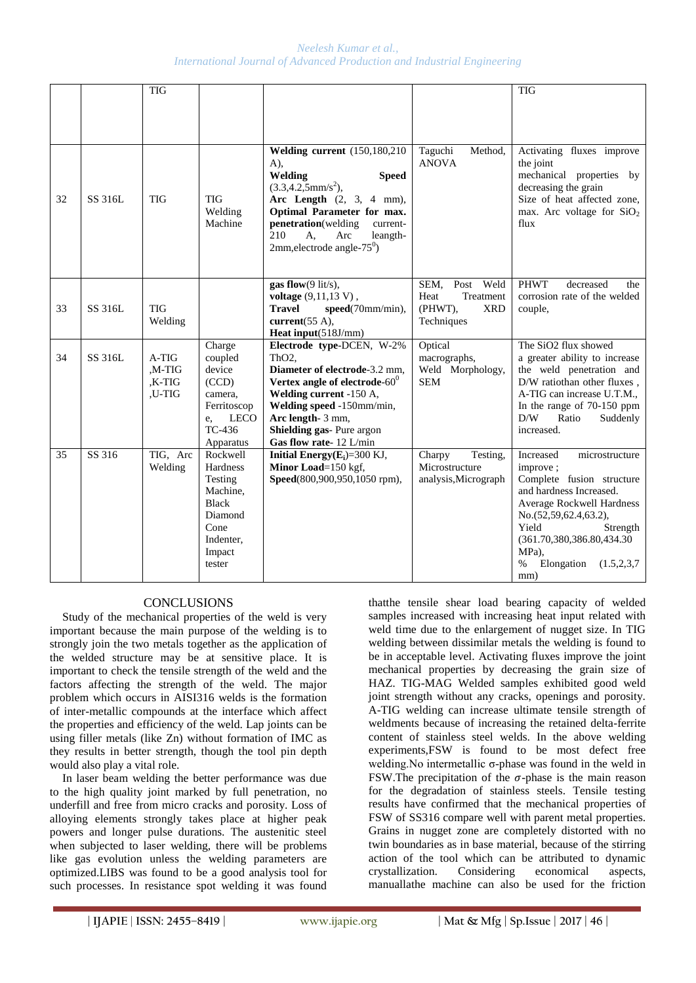|    |         | <b>TIG</b>                            |                                                                                                                 |                                                                                                                                                                                                                                                           |                                                                                  | <b>TIG</b>                                                                                                                                                                                                                                                      |
|----|---------|---------------------------------------|-----------------------------------------------------------------------------------------------------------------|-----------------------------------------------------------------------------------------------------------------------------------------------------------------------------------------------------------------------------------------------------------|----------------------------------------------------------------------------------|-----------------------------------------------------------------------------------------------------------------------------------------------------------------------------------------------------------------------------------------------------------------|
|    |         |                                       |                                                                                                                 | <b>Welding current</b> (150,180,210)                                                                                                                                                                                                                      | Taguchi<br>Method,                                                               | Activating fluxes improve                                                                                                                                                                                                                                       |
| 32 | SS 316L | <b>TIG</b>                            | <b>TIG</b><br>Welding<br>Machine                                                                                | $A)$ ,<br>Welding<br><b>Speed</b><br>$(3.3, 4.2, 5 \text{mm/s}^2)$ ,<br>Arc Length $(2, 3, 4 mm)$ ,<br>Optimal Parameter for max.<br>penetration(welding<br>current-<br>210<br>A,<br>Arc<br>leangth-<br>2mm, electrode angle- $75^0$ )                    | <b>ANOVA</b>                                                                     | the joint<br>mechanical properties by<br>decreasing the grain<br>Size of heat affected zone,<br>max. Arc voltage for $SiO2$<br>flux                                                                                                                             |
| 33 | SS 316L | <b>TIG</b><br>Welding                 |                                                                                                                 | gas flow $(9$ lit/s),<br>voltage (9,11,13 V),<br><b>Travel</b><br>$speed(70mm/min)$ .<br>current $(55 \text{ A})$ ,<br><b>Heat input</b> $(518J/mm)$                                                                                                      | SEM,<br>Post<br>Weld<br>Treatment<br>Heat<br>(PHWT),<br><b>XRD</b><br>Techniques | <b>PHWT</b><br>decreased<br>the<br>corrosion rate of the welded<br>couple,                                                                                                                                                                                      |
| 34 | SS 316L | $A-TIG$<br>,M-TIG<br>,K-TIG<br>,U-TIG | Charge<br>coupled<br>device<br>(CCD)<br>camera,<br>Ferritoscop<br><b>LECO</b><br>e,<br>TC-436<br>Apparatus      | Electrode type-DCEN, W-2%<br>ThO <sub>2</sub> .<br>Diameter of electrode-3.2 mm,<br>Vertex angle of electrode- $60^0$<br>Welding current -150 A,<br>Welding speed -150mm/min,<br>Arc length- 3 mm,<br>Shielding gas- Pure argon<br>Gas flow rate-12 L/min | Optical<br>macrographs,<br>Weld Morphology,<br><b>SEM</b>                        | The SiO <sub>2</sub> flux showed<br>a greater ability to increase<br>the weld penetration and<br>D/W ratiothan other fluxes,<br>A-TIG can increase U.T.M.,<br>In the range of 70-150 ppm<br>D/W<br>Ratio<br>Suddenly<br>increased.                              |
| 35 | SS 316  | TIG, Arc<br>Welding                   | Rockwell<br>Hardness<br>Testing<br>Machine,<br><b>Black</b><br>Diamond<br>Cone<br>Indenter,<br>Impact<br>tester | Initial Energy $(E_i)=300$ KJ,<br>Minor Load=150 kgf,<br>Speed(800,900,950,1050 rpm),                                                                                                                                                                     | Charpy<br>Testing,<br>Microstructure<br>analysis, Micrograph                     | Increased<br>microstructure<br>improve;<br>Complete fusion structure<br>and hardness Increased.<br>Average Rockwell Hardness<br>No.(52,59,62.4,63.2),<br>Yield<br>Strength<br>(361.70,380,386.80,434.30)<br>MPa).<br>Elongation<br>$\%$<br>(1.5, 2.3, 7)<br>mm) |

# **CONCLUSIONS**

Study of the mechanical properties of the weld is very important because the main purpose of the welding is to strongly join the two metals together as the application of the welded structure may be at sensitive place. It is important to check the tensile strength of the weld and the factors affecting the strength of the weld. The major problem which occurs in AISI316 welds is the formation of inter-metallic compounds at the interface which affect the properties and efficiency of the weld. Lap joints can be using filler metals (like Zn) without formation of IMC as they results in better strength, though the tool pin depth would also play a vital role.

In laser beam welding the better performance was due to the high quality joint marked by full penetration, no underfill and free from micro cracks and porosity. Loss of alloying elements strongly takes place at higher peak powers and longer pulse durations. The austenitic steel when subjected to laser welding, there will be problems like gas evolution unless the welding parameters are optimized.LIBS was found to be a good analysis tool for such processes. In resistance spot welding it was found

thatthe tensile shear load bearing capacity of welded samples increased with increasing heat input related with weld time due to the enlargement of nugget size. In TIG welding between dissimilar metals the welding is found to be in acceptable level. Activating fluxes improve the joint mechanical properties by decreasing the grain size of HAZ. TIG-MAG Welded samples exhibited good weld joint strength without any cracks, openings and porosity. A-TIG welding can increase ultimate tensile strength of weldments because of increasing the retained delta-ferrite content of stainless steel welds. In the above welding experiments,FSW is found to be most defect free welding.No intermetallic σ-phase was found in the weld in FSW. The precipitation of the  $\sigma$ -phase is the main reason for the degradation of stainless steels. Tensile testing results have confirmed that the mechanical properties of FSW of SS316 compare well with parent metal properties. Grains in nugget zone are completely distorted with no twin boundaries as in base material, because of the stirring action of the tool which can be attributed to dynamic crystallization. Considering economical aspects, manuallathe machine can also be used for the friction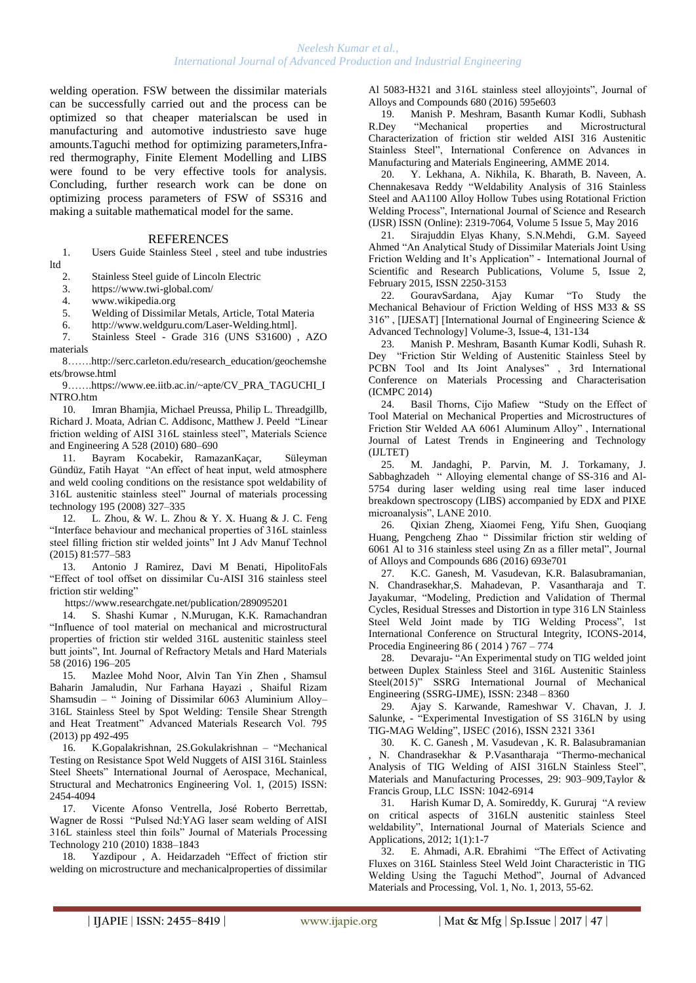welding operation. FSW between the dissimilar materials can be successfully carried out and the process can be optimized so that cheaper materialscan be used in manufacturing and automotive industriesto save huge amounts.Taguchi method for optimizing parameters,Infrared thermography, Finite Element Modelling and LIBS were found to be very effective tools for analysis. Concluding, further research work can be done on optimizing process parameters of FSW of SS316 and making a suitable mathematical model for the same.

#### **REFERENCES**

1. Users Guide Stainless Steel , steel and tube industries ltd

2. Stainless Steel guide of Lincoln Electric

3. https://www.twi-global.com/

4. www.wikipedia.org

5. Welding of Dissimilar Metals, Article, Total Materia<br>6. http://www.weldguru.com/Laser-Welding.htmll.

http://www.weldguru.com/Laser-Welding.html].

7. Stainless Steel - Grade 316 (UNS S31600) , AZO materials

8…….http://serc.carleton.edu/research\_education/geochemshe ets/browse.html

9…….https://www.ee.iitb.ac.in/~apte/CV\_PRA\_TAGUCHI\_I NTRO.htm

10. Imran Bhamjia, Michael Preussa, Philip L. Threadgillb, Richard J. Moata, Adrian C. Addisonc, Matthew J. Peeld "Linear friction welding of AISI 316L stainless steel", Materials Science and Engineering A 528 (2010) 680–690

11. Bayram Kocabekir, RamazanKaçar, Süleyman Gündüz, Fatih Hayat "An effect of heat input, weld atmosphere and weld cooling conditions on the resistance spot weldability of 316L austenitic stainless steel" Journal of materials processing technology 195 (2008) 327–335

12. L. Zhou, & W. L. Zhou & Y. X. Huang & J. C. Feng "Interface behaviour and mechanical properties of 316L stainless steel filling friction stir welded joints" Int J Adv Manuf Technol (2015) 81:577–583

13. Antonio J Ramirez, Davi M Benati, HipolitoFals "Effect of tool offset on dissimilar Cu-AISI 316 stainless steel friction stir welding"

https://www.researchgate.net/publication/289095201

14. S. Shashi Kumar , N.Murugan, K.K. Ramachandran "Influence of tool material on mechanical and microstructural properties of friction stir welded 316L austenitic stainless steel butt joints", Int. Journal of Refractory Metals and Hard Materials 58 (2016) 196–205

15. Mazlee Mohd Noor, Alvin Tan Yin Zhen , Shamsul Baharin Jamaludin, Nur Farhana Hayazi , Shaiful Rizam Shamsudin – " Joining of Dissimilar 6063 Aluminium Alloy– 316L Stainless Steel by Spot Welding: Tensile Shear Strength and Heat Treatment" Advanced Materials Research Vol. 795 (2013) pp 492-495

16. K.Gopalakrishnan, 2S.Gokulakrishnan – "Mechanical Testing on Resistance Spot Weld Nuggets of AISI 316L Stainless Steel Sheets" International Journal of Aerospace, Mechanical, Structural and Mechatronics Engineering Vol. 1, (2015) ISSN: 2454-4094

17. Vicente Afonso Ventrella, José Roberto Berrettab, Wagner de Rossi "Pulsed Nd:YAG laser seam welding of AISI 316L stainless steel thin foils" Journal of Materials Processing Technology 210 (2010) 1838–1843

18. Yazdipour , A. Heidarzadeh "Effect of friction stir welding on microstructure and mechanicalproperties of dissimilar Al 5083-H321 and 316L stainless steel alloyjoints", Journal of Alloys and Compounds 680 (2016) 595e603

19. Manish P. Meshram, Basanth Kumar Kodli, Subhash R.Dey "Mechanical properties and Microstructural Characterization of friction stir welded AISI 316 Austenitic Stainless Steel", International Conference on Advances in Manufacturing and Materials Engineering, AMME 2014.

20. Y. Lekhana, A. Nikhila, K. Bharath, B. Naveen, A. Chennakesava Reddy "Weldability Analysis of 316 Stainless Steel and AA1100 Alloy Hollow Tubes using Rotational Friction Welding Process", International Journal of Science and Research (IJSR) ISSN (Online): 2319-7064, Volume 5 Issue 5, May 2016

21. Sirajuddin Elyas Khany, S.N.Mehdi, G.M. Sayeed Ahmed "An Analytical Study of Dissimilar Materials Joint Using Friction Welding and It's Application" - International Journal of Scientific and Research Publications, Volume 5, Issue 2, February 2015, ISSN 2250-3153

22. GouravSardana, Ajay Kumar "To Study the Mechanical Behaviour of Friction Welding of HSS M33 & SS 316" , [IJESAT] [International Journal of Engineering Science & Advanced Technology] Volume-3, Issue-4, 131-134

23. Manish P. Meshram, Basanth Kumar Kodli, Suhash R. Dey "Friction Stir Welding of Austenitic Stainless Steel by PCBN Tool and Its Joint Analyses" , 3rd International Conference on Materials Processing and Characterisation (ICMPC 2014)

24. Basil Thorns, Cijo Mafiew "Study on the Effect of Tool Material on Mechanical Properties and Microstructures of Friction Stir Welded AA 6061 Aluminum Alloy" , International Journal of Latest Trends in Engineering and Technology (IJLTET)

25. M. Jandaghi, P. Parvin, M. J. Torkamany, J. Sabbaghzadeh " Alloying elemental change of SS-316 and Al-5754 during laser welding using real time laser induced breakdown spectroscopy (LIBS) accompanied by EDX and PIXE microanalysis", LANE 2010.

26. Qixian Zheng, Xiaomei Feng, Yifu Shen, Guoqiang Huang, Pengcheng Zhao " Dissimilar friction stir welding of 6061 Al to 316 stainless steel using Zn as a filler metal", Journal of Alloys and Compounds 686 (2016) 693e701

27. K.C. Ganesh, M. Vasudevan, K.R. Balasubramanian, N. Chandrasekhar,S. Mahadevan, P. Vasantharaja and T. Jayakumar, "Modeling, Prediction and Validation of Thermal Cycles, Residual Stresses and Distortion in type 316 LN Stainless Steel Weld Joint made by TIG Welding Process", 1st International Conference on Structural Integrity, ICONS-2014, Procedia Engineering 86 ( 2014 ) 767 – 774

28. Devaraju- "An Experimental study on TIG welded joint between Duplex Stainless Steel and 316L Austenitic Stainless Steel(2015)" SSRG International Journal of Mechanical Engineering (SSRG-IJME), ISSN: 2348 – 8360

29. Ajay S. Karwande, Rameshwar V. Chavan, J. J. Salunke, - "Experimental Investigation of SS 316LN by using TIG-MAG Welding", IJSEC (2016), ISSN 2321 3361

30. K. C. Ganesh , M. Vasudevan , K. R. Balasubramanian , N. Chandrasekhar & P.Vasantharaja "Thermo-mechanical Analysis of TIG Welding of AISI 316LN Stainless Steel", Materials and Manufacturing Processes, 29: 903–909,Taylor & Francis Group, LLC ISSN: 1042-6914

31. Harish Kumar D, A. Somireddy, K. Gururaj "A review on critical aspects of 316LN austenitic stainless Steel weldability", International Journal of Materials Science and Applications, 2012; 1(1):1-7

32. E. Ahmadi, A.R. Ebrahimi "The Effect of Activating Fluxes on 316L Stainless Steel Weld Joint Characteristic in TIG Welding Using the Taguchi Method", Journal of Advanced Materials and Processing, Vol. 1, No. 1, 2013, 55-62.